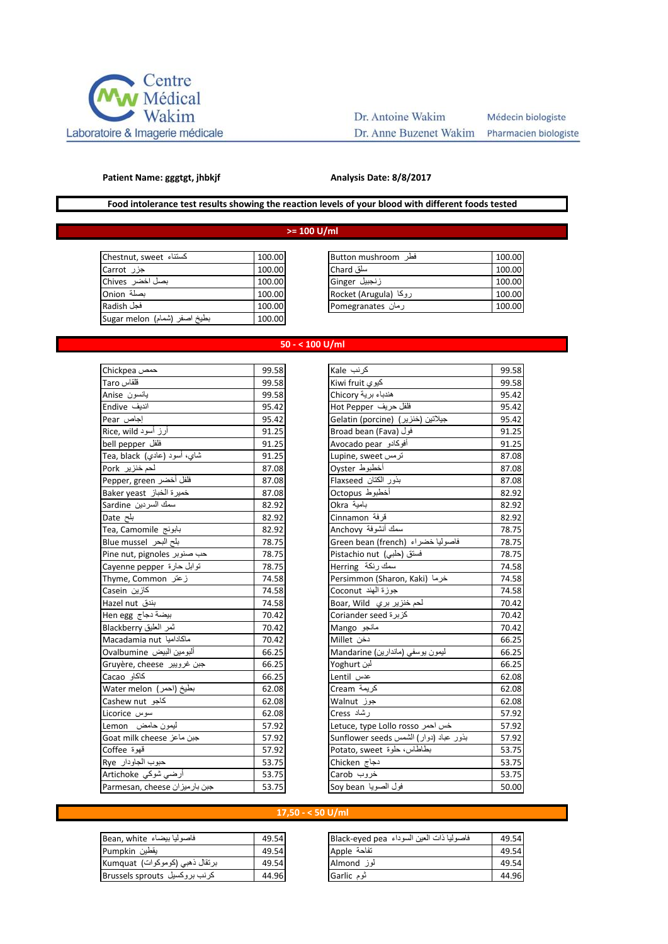

# Dr. Antoine Wakim Dr. Anne Buzenet Wakim Pharmacien biologiste

Médecin biologiste

#### **Patient Name: gggtgt, jhbkjf**

#### **Analysis Date: 8/8/2017**

## **Food intolerance test results showing the reaction levels of your blood with different foods tested**

## **>= 100 U/ml**

| كسنناء Chestnut, sweet       | 100.00 |
|------------------------------|--------|
| جزر Carrot                   | 100.00 |
| بصل اخضر Chives              | 100.00 |
| بصلة Onion                   | 100.00 |
| فجل Radish                   | 100.00 |
| بطيخ اصفر (شمام) Sugar melon | 100.00 |

| کستناء  Chestnut, sweet | 100.00 | فطر Button mushroom    | 100.00 |
|-------------------------|--------|------------------------|--------|
| جزر Carrot              | 100.00 | سلق Chard              | 100.00 |
| بصل اخضر  Chives        | 100.00 | زنجبيل Ginger          | 100.00 |
| بصلة Onion              | 100.00 | روكا (Rocket (Arugula) | 100.00 |
| فجل Radish              | 100.00 | رمان Pomegranates      | 100.00 |
|                         |        |                        |        |

#### **50 - < 100 U/ml**

| Chickpea حمص                                    | 99.58 |
|-------------------------------------------------|-------|
| قلقاس Taro                                      | 99.58 |
| يانسون Anise                                    | 99.58 |
| انديف Endive                                    | 95.42 |
| Pear إجاص                                       | 95.42 |
| أرز أسود Rice, wild                             | 91.25 |
| bell pepper                                     | 91.25 |
| <mark>شاي، أسود <u>(</u>عادي) Tea, black</mark> | 91.25 |
| لحم خنزیر Pork                                  | 87.08 |
| فلفل أخضر Pepper, green                         | 87.08 |
| خميرة الخباز Baker yeast                        | 87.08 |
| سمك السردين Sardine                             | 82.92 |
| بلح Date                                        | 82.92 |
| Tea, Camomile بابونج                            | 82.92 |
| بلح البحر Blue mussel                           | 78.75 |
| Pine nut, pignoles حب صنوبر                     | 78.75 |
| توابل حارة Cayenne pepper                       | 78.75 |
| زعتر Thyme, Common                              | 74.58 |
| كازين Casein                                    | 74.58 |
| بندق Hazel nut                                  | 74.58 |
| بيضة دجاج Hen egg                               | 70.42 |
| تسر العليق Blackberry                           | 70.42 |
| Macadamia nut ماكاداميا                         | 70.42 |
| ألبومين البيض Ovalbumine                        | 66.25 |
| Gruyère, cheese جبن غرويير                      | 66.25 |
| كاكاو Cacao                                     | 66.25 |
| بطيخ (احمر) Water melon                         | 62.08 |
| كاجو Cashew nut                                 | 62.08 |
| سوس Licorice                                    | 62.08 |
| ليمون حامض Lemon                                | 57.92 |
| Goat milk cheese جبن ماعز                       | 57.92 |
| قهوة Coffee                                     | 57.92 |
| حبوب الجاودار Rye                               | 53.75 |
| أرضي شوكي Artichoke                             | 53.75 |
| Parmesan, cheese جبن بارميزان                   | 53.75 |

| حمص Chickpea                  | 99.58 | كرنب Kale                              | 99.58 |
|-------------------------------|-------|----------------------------------------|-------|
| قلقاس Taro                    | 99.58 | کیوی Kiwi fruit                        | 99.58 |
| يانسون Anise                  | 99.58 | هندباء برية Chicory                    | 95.42 |
| اندیف Endive                  | 95.42 | فلفل حريف Hot Pepper                   | 95.42 |
| إجاص Pear                     | 95.42 | Gelatin (porcine)    (جيلاتين (خنزير)  | 95.42 |
| أرز أسود Rice, wild           | 91.25 | Broad bean (Fava) فول                  | 91.25 |
| فلفل bell pepper              | 91.25 | أفوكادو Avocado pear                   | 91.25 |
| شاي، أسود (عادي) Tea, black   | 91.25 | ترمس Lupine, sweet                     | 87.08 |
| لحم خنزیر Pork                | 87.08 | أخطبوط Oyster                          | 87.08 |
| فلفل أخضر Pepper, green       | 87.08 | بذور الكتان Flaxseed                   | 87.08 |
| خميرة الخباز Baker yeast      | 87.08 | أخطبوط Octopus                         | 82.92 |
| سمك السردين Sardine           | 82.92 | Okra بامية                             | 82.92 |
| بلح Date                      | 82.92 | قرفة Cinnamon                          | 82.92 |
| بابونج Tea, Camomile          | 82.92 | سمك أنشوفة Anchovy                     | 78.75 |
| بلح البحر Blue mussel         | 78.75 | فاصوليا خضراء (Green bean (french      | 78.75 |
| Pine nut, pignoles حب صنوبر   | 78.75 | فستق (حلبي) Pistachio nut              | 78.75 |
| توابل حارة Cayenne pepper     | 78.75 | سمك رنكة Herring                       | 74.58 |
| زعتر Thyme, Common            | 74.58 | Persimmon (Sharon, Kaki) خرما          | 74.58 |
| كازين Casein                  | 74.58 | جوزة الهند Coconut                     | 74.58 |
| بندق Hazel nut                | 74.58 | لحم خنزير بري Boar, Wild               | 70.42 |
| بيضة دجاج Hen egg             | 70.42 | كزبرة Coriander seed                   | 70.42 |
| تسر العليق Blackberry         | 70.42 | مانجو Mango                            | 70.42 |
| Macadamia nut ماكاداميا       | 70.42 | دخن Millet                             | 66.25 |
| ألبومين البيض Ovalbumine      | 66.25 | ليمون يوسفي (ماندارين) Mandarine       | 66.25 |
| Gruyère, cheese جبن غرويير    | 66.25 | لبن Yoghurt                            | 66.25 |
| كاكاو Cacao                   | 66.25 | عدس Lentil                             | 62.08 |
| بطيخ (احمر ) Water melon      | 62.08 | كريمة Cream                            | 62.08 |
| كاجو Cashew nut               | 62.08 | جوز Walnut                             | 62.08 |
| سوس Licorice                  | 62.08 | ر شاد Cress                            | 57.92 |
| ليمون حامض Lemon              | 57.92 | Letuce, type Lollo rosso خس احمر       | 57.92 |
| Goat milk cheese جبن ماعز     | 57.92 | بذور عباد (دوار) الشمس Sunflower seeds | 57.92 |
| قهوة Coffee                   | 57.92 | بطاطاس، حلوة Potato, sweet             | 53.75 |
| حبوب الجاودار Rye             | 53.75 | دجاج Chicken                           | 53.75 |
| أرضي شوكي Artichoke           | 53.75 | خروب Carob                             | 53.75 |
| Parmesan, cheese جبن بارميزان | 53.75 | فول الصويا Soy bean                    | 50.00 |

## **17,50 - < 50 U/ml**

| فاصوليا بيضاء Bean, white      | 49.54 |
|--------------------------------|-------|
| يقطين Pumpkin                  | 49.54 |
| برنقال ذهبي (كوموكوات) Kumquat | 49.54 |
| كرنب بروكسيل Brussels sprouts  | 44.96 |

| فاصوليا بيضاء  Bean, white     | 49.54 | فاصوليا ذات العين السوداء  Black-eyed pea | 49.54 |
|--------------------------------|-------|-------------------------------------------|-------|
| يقطين Pumpkin                  | 49.54 | تفاحة Apple                               | 49.54 |
| برنقال ذهبي (كوموكوات) Kumquat | 49.54 | لوز Almond                                | 49.54 |
| کرنب بر رکسیل Brussels sprouts | 44.96 | ٿوم Garlic                                | 44.96 |